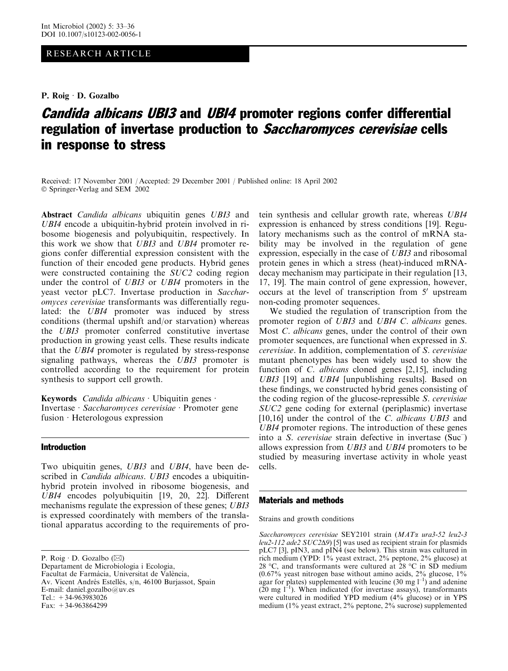# RESEARCH ARTICLE

P. Roig · D. Gozalbo

# Candida albicans UBI3 and UBI4 promoter regions confer differential regulation of invertase production to Saccharomyces cerevisiae cells in response to stress

Received: 17 November 2001 / Accepted: 29 December 2001 / Published online: 18 April 2002 Springer-Verlag and SEM 2002

Abstract Candida albicans ubiquitin genes UBI3 and UBI4 encode a ubiquitin-hybrid protein involved in ribosome biogenesis and polyubiquitin, respectively. In this work we show that UBI3 and UBI4 promoter regions confer differential expression consistent with the function of their encoded gene products. Hybrid genes were constructed containing the SUC2 coding region under the control of *UBI3* or *UBI4* promoters in the yeast vector pLC7. Invertase production in Saccharomyces cerevisiae transformants was differentially regulated: the UBI4 promoter was induced by stress conditions (thermal upshift and/or starvation) whereas the UBI3 promoter conferred constitutive invertase production in growing yeast cells. These results indicate that the UBI4 promoter is regulated by stress-response signaling pathways, whereas the UBI3 promoter is controlled according to the requirement for protein synthesis to support cell growth.

Keywords Candida albicans  $\cdot$  Ubiquitin genes  $\cdot$ Invertase · Saccharomyces cerevisiae · Promoter gene  $fusion \cdot Heterologous expression$ 

# Introduction

Two ubiquitin genes, UBI3 and UBI4, have been described in *Candida albicans*. UBI3 encodes a ubiquitinhybrid protein involved in ribosome biogenesis, and UBI4 encodes polyubiquitin [19, 20, 22]. Different mechanisms regulate the expression of these genes: UBI3 is expressed coordinately with members of the translationalapparatus according to the requirements of pro-

Departament de Microbiologia i Ecologia, Facultat de Farmàcia, Universitat de València, Av. Vicent Andrés Estellés, s/n, 46100 Burjassot, Spain E-mail: daniel.gozalbo@uv.es Tel.: +34-963983026 Fax: +34-963864299

tein synthesis and cellular growth rate, whereas UBI4 expression is enhanced by stress conditions [19]. Regulatory mechanisms such as the control of mRNA stability may be involved in the regulation of gene expression, especially in the case of UBI3 and ribosomal protein genes in which a stress (heat)-induced mRNAdecay mechanism may participate in their regulation [13, 17, 19]. The main control of gene expression, however, occurs at the level of transcription from 5' upstream non-coding promoter sequences.

We studied the regulation of transcription from the promoter region of *UBI3* and *UBI4 C. albicans* genes. Most C. albicans genes, under the control of their own promoter sequences, are functional when expressed in S. cerevisiae. In addition, complementation of S. cerevisiae mutant phenotypes has been widely used to show the function of *C. albicans* cloned genes [2,15], including UBI3 [19] and UBI4 [unpublishing results]. Based on these findings, we constructed hybrid genes consisting of the coding region of the glucose-repressible S. cerevisiae SUC<sub>2</sub> gene coding for external (periplasmic) invertase [10,16] under the control of the C. albicans UBI3 and UBI4 promoter regions. The introduction of these genes into a *S. cerevisiae* strain defective in invertase  $(Suc)$ allows expression from UBI3 and UBI4 promoters to be studied by measuring invertase activity in whole yeast cells.

# Materials and methods

Strains and growth conditions

Saccharomyces cerevisiae SEY2101 strain (MATa ura3-52 leu2-3 leu2-112 ade2 SUC2 $\Delta$ 9) [5] was used as recipient strain for plasmids pLC7 [3], pIN3, and pIN4 (see below). This strain was cultured in rich medium (YPD: 1% yeast extract, 2% peptone, 2% glucose) at 28 °C, and transformants were cultured at  $28$  °C in SD medium (0.67% yeast nitrogen base without amino acids,  $2\%$  glucose,  $1\%$ agar for plates) supplemented with leucine (30 mg  $1^{-1}$ ) and adenine  $(20 \text{ mg } l^{-1})$ . When indicated (for invertase assays), transformants were cultured in modified YPD medium (4% glucose) or in YPS medium (1% yeast extract, 2% peptone, 2% sucrose) supplemented

P. Roig  $\cdot$  D. Gozalbo ( $\boxtimes$ )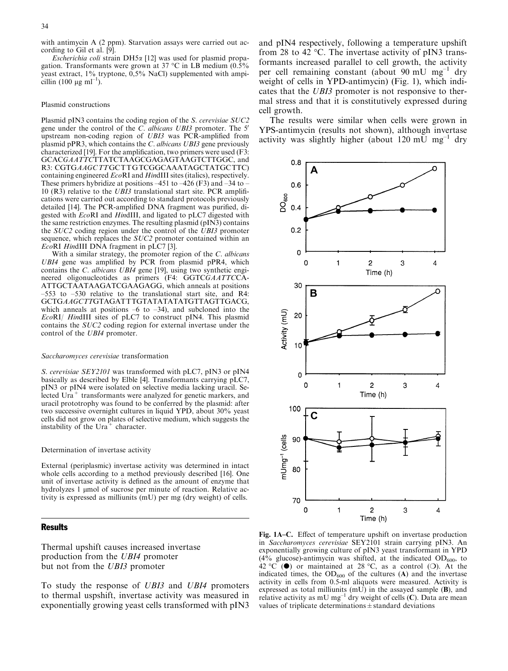with antimycin A (2 ppm). Starvation assays were carried out according to Gil et al. [9].

Escherichia coli strain DH5 $\alpha$  [12] was used for plasmid propagation. Transformants were grown at 37 °C in LB medium  $(0.5\%$ yeast extract,  $1\%$  tryptone,  $0.5\%$  NaCl) supplemented with ampicillin (100 µg ml<sup>-1</sup>).

#### Plasmid constructions

Plasmid pIN3 contains the coding region of the S. cerevisiae SUC2 gene under the control of the  $C$ . albicans UBI3 promoter. The  $5'$ upstream non-coding region of UBI3 was PCR-amplified from plasmid pPR3, which contains the C. albicans UBI3 gene previously characterized [19]. For the amplification, two primers were used (F3: GCACGAATTCTTATCTAAGCGAGAGTAAGTCTTGGC, and R3: CGTGAAGCTTGCTTGTCGGCAAATAGCTATGCTTC) containing engineered EcoRI and HindIII sites (italics), respectively. These primers hybridize at positions  $-451$  to  $-426$  (F3) and  $-34$  to  $-$ 10 (R3) relative to the UBI3 translational start site. PCR amplifications were carried out according to standard protocols previously detailed [14]. The PCR-amplified DNA fragment was purified, digested with EcoRI and HindIII, and ligated to pLC7 digested with the same restriction enzymes. The resulting plasmid (pIN3) contains the SUC2 coding region under the control of the UBI3 promoter sequence, which replaces the *SUC2* promoter contained within an EcoRI HindIII DNA fragment in pLC7 [3].

With a similar strategy, the promoter region of the C. albicans UBI4 gene was amplified by PCR from plasmid pPR4, which contains the C. albicans UBI4 gene [19], using two synthetic engineered oligonucleotides as primers (F4: GGTCGAATTCCA-ATTGCTAATAAGATCGAAGAGG, which anneals at positions –553 to –530 relative to the translational start site, and R4: GCTGAAGCTTGTAGATTTGTATATATATGTTAGTTGACG, which anneals at positions  $-6$  to  $-34$ ), and subcloned into the EcoRI/ HindIII sites of pLC7 to construct pIN4. This plasmid contains the SUC2 coding region for external invertase under the control of the UBI4 promoter.

#### Saccharomyces cerevisiae transformation

S. cerevisiae SEY2101 was transformed with pLC7, pIN3 or pIN4 basically as described by Elble [4]. Transformants carrying pLC7, pIN3 or pIN4 were isolated on selective media lacking uracil. Selected  $Ura^+$  transformants were analyzed for genetic markers, and uracil prototrophy was found to be conferred by the plasmid: after two successive overnight cultures in liquid YPD, about 30% yeast cells did not grow on plates of selective medium, which suggests the instability of the  $Ura^+$  character.

#### Determination of invertase activity

External (periplasmic) invertase activity was determined in intact whole cells according to a method previously described [16]. One unit of invertase activity is defined as the amount of enzyme that hydrolyzes 1 µmol of sucrose per minute of reaction. Relative activity is expressed as milliunits (mU) per mg (dry weight) of cells.

### Results

Thermal upshift causes increased invertase production from the UBI4 promoter but not from the *UBI3* promoter

To study the response of UBI3 and UBI4 promoters to thermal uspshift, invertase activity was measured in exponentially growing yeast cells transformed with pIN3

and pIN4 respectively, following a temperature upshift from 28 to 42 $\degree$ C. The invertase activity of pIN3 transformants increased parallel to cell growth, the activity per cell remaining constant (about 90 mU mg<sup>-1</sup> dry weight of cells in YPD-antimycin) (Fig. 1), which indicates that the UBI3 promoter is not responsive to thermal stress and that it is constitutively expressed during cell growth.

The results were similar when cells were grown in YPS-antimycin (results not shown), although invertase activity was slightly higher (about 120 mU  $mg^{-1}$  dry



Fig. 1A–C. Effect of temperature upshift on invertase production in Saccharomyces cerevisiae SEY2101 strain carrying pIN3. An exponentially growing culture of pIN3 yeast transformant in YPD  $(4\%$  glucose)-antimycin was shifted, at the indicated OD<sub>600</sub>, to  $42 \degree$ C ( $\bullet$ ) or maintained at 28 °C, as a control (O). At the indicated times, the  $OD_{600}$  of the cultures (A) and the invertase activity in cells from 0.5-ml aliquots were measured. Activity is expressed as total milliunits  $(mU)$  in the assayed sample  $(B)$ , and relative activity as mU mg<sup>-1</sup> dry weight of cells (C). Data are mean values of triplicate determinations  $\pm$  standard deviations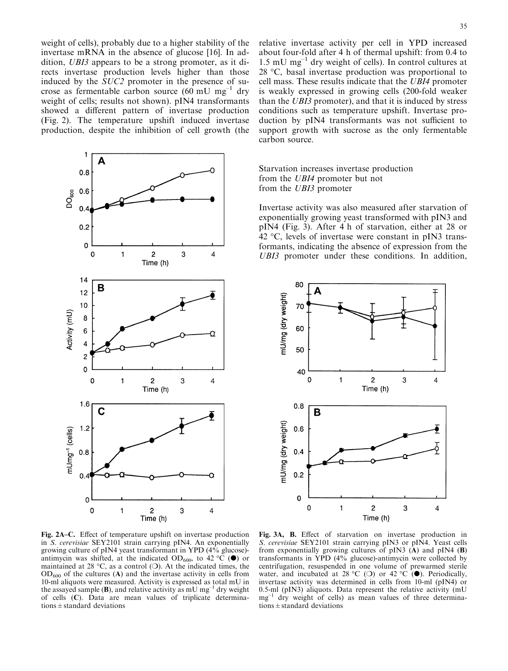weight of cells), probably due to a higher stability of the invertase mRNA in the absence of glucose [16]. In addition, UBI3 appears to be a strong promoter, as it directs invertase production levels higher than those induced by the SUC2 promoter in the presence of sucrose as fermentable carbon source (60 mU  $mg^{-1}$  dry weight of cells; results not shown). pIN4 transformants showed a different pattern of invertase production (Fig. 2). The temperature upshift induced invertase production, despite the inhibition of cell growth (the



relative invertase activity per cell in YPD increased about four-fold after 4 h of thermal upshift: from 0.4 to 1.5 mU  $mg^{-1}$  dry weight of cells). In control cultures at  $28 \text{ °C}$ , basal invertase production was proportional to cell mass. These results indicate that the UBI4 promoter is weakly expressed in growing cells (200-fold weaker than the UBI3 promoter), and that it is induced by stress conditions such as temperature upshift. Invertase production by pIN4 transformants was not sufficient to support growth with sucrose as the only fermentable carbon source.

Starvation increases invertase production from the UBI4 promoter but not from the UBI3 promoter

Invertase activity was also measured after starvation of exponentially growing yeast transformed with pIN3 and pIN4 (Fig. 3). After 4 h of starvation, either at 28 or 42  $\degree$ C, levels of invertase were constant in pIN3 transformants, indicating the absence of expression from the UBI3 promoter under these conditions. In addition,



Fig. 2A–C. Effect of temperature upshift on invertase production in S. cerevisiae SEY2101 strain carrying pIN4. An exponentially growing culture of pIN4 yeast transformant in YPD  $(4\%$  glucose)antimycin was shifted, at the indicated OD<sub>600</sub>, to 42 °C ( $\bullet$ ) or maintained at 28 °C, as a control (O). At the indicated times, the  $OD_{600}$  of the cultures (A) and the invertase activity in cells from 10-ml aliquots were measured. Activity is expressed as total mU in the assayed sample (B), and relative activity as mU mg<sup>-1</sup> dry weight of cells (C). Data are mean values of triplicate determinations  $\pm$  standard deviations

Fig. 3A, B. Effect of starvation on invertase production in S. cerevisiae SEY2101 strain carrying pIN3 or pIN4. Yeast cells from exponentially growing cultures of pIN3  $(A)$  and pIN4  $(B)$ transformants in YPD (4% glucose)-antimycin were collected by centrifugation, resuspended in one volume of prewarmed sterile water, and incubated at 28 °C (O) or 42 °C ( $\bullet$ ). Periodically, invertase activity was determined in cells from 10-ml (pIN4) or 0.5-ml (pIN3) aliquots. Data represent the relative activity (mU  $mg^{-1}$  dry weight of cells) as mean values of three determinations  $\pm$  standard deviations